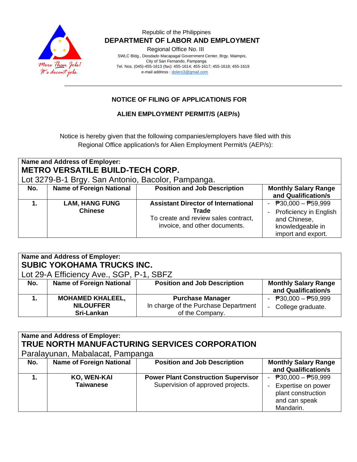

### Republic of the Philippines  **DEPARTMENT OF LABOR AND EMPLOYMENT**

Regional Office No. III

 SWLC Bldg., Diosdado Macapagal Government Center, Brgy. Maimpis, City of San Fernando, Pampanga Tel. Nos. (045)-455-1613 (fax): 455-1614; 455-1617; 455-1618; 455-1619 e-mail address [: dolero3@gmail.com](mailto:dolero3@gmail.com)

# **NOTICE OF FILING OF APPLICATION/S FOR**

### **ALIEN EMPLOYMENT PERMIT/S (AEP/s)**

Notice is hereby given that the following companies/employers have filed with this Regional Office application/s for Alien Employment Permit/s (AEP/s):

|     | <b>Name and Address of Employer:</b><br><b>METRO VERSATILE BUILD-TECH CORP.</b><br>Lot 3279-B-1 Brgy. San Antonio, Bacolor, Pampanga. |                                                                                                                              |                                                                                                                                           |
|-----|---------------------------------------------------------------------------------------------------------------------------------------|------------------------------------------------------------------------------------------------------------------------------|-------------------------------------------------------------------------------------------------------------------------------------------|
| No. | <b>Name of Foreign National</b>                                                                                                       | <b>Position and Job Description</b>                                                                                          | <b>Monthly Salary Range</b><br>and Qualification/s                                                                                        |
| 1.  | <b>LAM, HANG FUNG</b><br><b>Chinese</b>                                                                                               | <b>Assistant Director of International</b><br>Trade<br>To create and review sales contract,<br>invoice, and other documents. | - $\overline{P}30,000 - \overline{P}59,999$<br>Proficiency in English<br>$\sim$<br>and Chinese,<br>knowledgeable in<br>import and export. |

| <b>Name and Address of Employer:</b><br>SUBIC YOKOHAMA TRUCKS INC.<br>Lot 29-A Efficiency Ave., SGP, P-1, SBFZ |                                                           |                                                                                    |                                                    |  |  |
|----------------------------------------------------------------------------------------------------------------|-----------------------------------------------------------|------------------------------------------------------------------------------------|----------------------------------------------------|--|--|
| No.                                                                                                            | <b>Name of Foreign National</b>                           | <b>Position and Job Description</b>                                                | <b>Monthly Salary Range</b><br>and Qualification/s |  |  |
|                                                                                                                | <b>MOHAMED KHALEEL,</b><br><b>NILOUFFER</b><br>Sri-Lankan | <b>Purchase Manager</b><br>In charge of the Purchase Department<br>of the Company. | - $P30,000 - P59,999$<br>- College graduate.       |  |  |

| <b>Name and Address of Employer:</b><br>TRUE NORTH MANUFACTURING SERVICES CORPORATION<br>Paralayunan, Mabalacat, Pampanga |                                 |                                                                                 |                                                                                               |  |  |  |
|---------------------------------------------------------------------------------------------------------------------------|---------------------------------|---------------------------------------------------------------------------------|-----------------------------------------------------------------------------------------------|--|--|--|
| No.                                                                                                                       | <b>Name of Foreign National</b> | <b>Position and Job Description</b>                                             | <b>Monthly Salary Range</b><br>and Qualification/s                                            |  |  |  |
|                                                                                                                           | KO, WEN-KAI<br><b>Taiwanese</b> | <b>Power Plant Construction Supervisor</b><br>Supervision of approved projects. | $P30,000 - P59,999$<br>Expertise on power<br>plant construction<br>and can speak<br>Mandarin. |  |  |  |